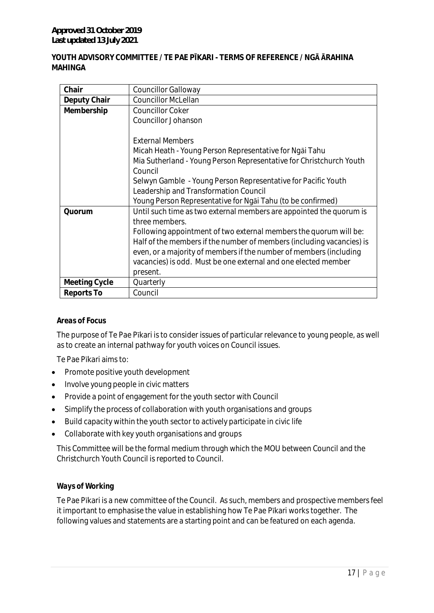## **YOUTH ADVISORY COMMITTEE / TE PAE PĪKARI - TERMS OF REFERENCE / NGĀ ĀRAHINA MAHINGA**

| Chair         | <b>Councillor Galloway</b>                                            |
|---------------|-----------------------------------------------------------------------|
| Deputy Chair  | <b>Councillor McLellan</b>                                            |
| Membership    | <b>Councillor Coker</b>                                               |
|               | Councillor Johanson                                                   |
|               |                                                                       |
|               | <b>External Members</b>                                               |
|               | Micah Heath - Young Person Representative for Ngai Tahu               |
|               | Mia Sutherland - Young Person Representative for Christchurch Youth   |
|               | Council                                                               |
|               | Selwyn Gamble - Young Person Representative for Pacific Youth         |
|               | Leadership and Transformation Council                                 |
|               | Young Person Representative for Ngai Tahu (to be confirmed)           |
| Quorum        | Until such time as two external members are appointed the quorum is   |
|               | three members.                                                        |
|               | Following appointment of two external members the quorum will be:     |
|               | Half of the members if the number of members (including vacancies) is |
|               | even, or a majority of members if the number of members (including    |
|               | vacancies) is odd. Must be one external and one elected member        |
|               | present.                                                              |
| Meeting Cycle | Quarterly                                                             |
| Reports To    | Council                                                               |

#### *Areas of Focus*

The purpose of Te Pae Pīkari is to consider issues of particular relevance to young people, as well as to create an internal pathway for youth voices on Council issues.

Te Pae Pīkari aims to:

- Promote positive youth development
- Involve young people in civic matters
- Provide a point of engagement for the youth sector with Council
- Simplify the process of collaboration with youth organisations and groups
- Build capacity within the youth sector to actively participate in civic life
- Collaborate with key youth organisations and groups

This Committee will be the formal medium through which the MOU between Council and the Christchurch Youth Council is reported to Council.

# *Ways of Working*

Te Pae Pīkari is a new committee of the Council. As such, members and prospective members feel it important to emphasise the value in establishing how Te Pae Pīkari works together. The following values and statements are a starting point and can be featured on each agenda.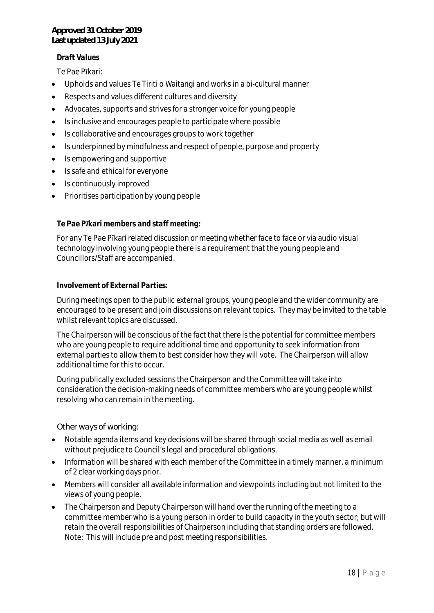# *Draft Values*

Te Pae Pīkari:

- Upholds and values Te Tiriti o Waitangi and works in a bi-cultural manner
- Respects and values different cultures and diversity
- Advocates, supports and strives for a stronger voice for young people
- Is inclusive and encourages people to participate where possible
- Is collaborative and encourages groups to work together
- Is underpinned by mindfulness and respect of people, purpose and property
- Is empowering and supportive
- Is safe and ethical for everyone
- Is continuously improved
- Prioritises participationby young people

### *Te Pae Pīkari members and staff meeting:*

For any Te Pae Pīkari related discussion or meeting whether face to face or via audio visual technology involving young people there is a requirement that the young people and Councillors/Staff are accompanied.

### *Involvement of External Parties:*

During meetings open to the public external groups, young people and the wider community are encouraged to be present and join discussions on relevant topics. They may be invited to the table whilst relevant topics are discussed.

The Chairperson will be conscious of the fact that there is the potential for committee members who are young people to require additional time and opportunity to seek information from external parties to allow them to best consider how they will vote. The Chairperson will allow additional time for this to occur.

During publically excluded sessions the Chairperson and the Committee will take into consideration the decision-making needs of committee members who are young people whilst resolving who can remain in the meeting.

#### *Other ways of working:*

- Notable agenda items and key decisions will be shared through social media as well as email without prejudice to Council's legal and procedural obligations.
- Information will be shared with each member of the Committee in a timely manner, a minimum of 2 clear working days prior.
- Members will consider all available information and viewpoints including but not limited to the views of young people.
- The Chairperson and Deputy Chairperson will hand over the running of the meeting to a committee member who is a young person in order to build capacity in the youth sector; but will retain the overall responsibilities of Chairperson including that standing orders are followed. Note: This will include pre and post meeting responsibilities.